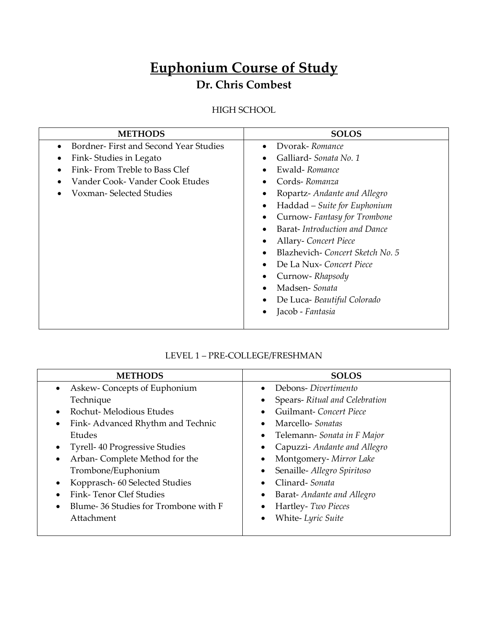# **Euphonium Course of Study**

# **Dr. Chris Combest**

HIGH SCHOOL

| <b>METHODS</b>                             | <b>SOLOS</b>                              |
|--------------------------------------------|-------------------------------------------|
| Bordner-First and Second Year Studies      | Dvorak-Romance                            |
| Fink-Studies in Legato                     | Galliard-Sonata No. 1                     |
| Fink-From Treble to Bass Clef<br>$\bullet$ | Ewald-Romance<br>٠                        |
| Vander Cook-Vander Cook Etudes             | Cords-Romanza                             |
| Voxman- Selected Studies                   | Ropartz-Andante and Allegro               |
|                                            | Haddad – Suite for Euphonium<br>٠         |
|                                            | Curnow-Fantasy for Trombone               |
|                                            | Barat-Introduction and Dance              |
|                                            | <b>Allary-</b> Concert Piece<br>$\bullet$ |
|                                            | Blazhevich-Concert Sketch No. 5           |
|                                            | De La Nux-Concert Piece                   |
|                                            | Curnow-Rhapsody                           |
|                                            | Madsen-Sonata                             |
|                                            | De Luca- Beautiful Colorado               |
|                                            | Jacob - Fantasia                          |
|                                            |                                           |

### LEVEL 1 – PRE-COLLEGE/FRESHMAN

| <b>METHODS</b>                                    | <b>SOLOS</b>                             |
|---------------------------------------------------|------------------------------------------|
| Askew-Concepts of Euphonium<br>$\bullet$          | Debons- <i>Divertimento</i><br>$\bullet$ |
| Technique                                         | Spears-Ritual and Celebration            |
| Rochut-Melodious Etudes<br>$\bullet$              | Guilmant-Concert Piece<br>$\bullet$      |
| Fink-Advanced Rhythm and Technic<br>٠             | Marcello-Sonatas<br>$\bullet$            |
| Etudes                                            | Telemann- Sonata in F Major              |
| <b>Tyrell-40 Progressive Studies</b><br>٠         | Capuzzi-Andante and Allegro              |
| Arban-Complete Method for the<br>$\bullet$        | Montgomery- Mirror Lake                  |
| Trombone/Euphonium                                | Senaille- Allegro Spiritoso              |
| Kopprasch- 60 Selected Studies<br>$\bullet$       | Clinard-Sonata                           |
| Fink-Tenor Clef Studies                           | Barat-Andante and Allegro                |
| Blume-36 Studies for Trombone with F<br>$\bullet$ | Hartley- Two Pieces                      |
| Attachment                                        | White-Lyric Suite                        |
|                                                   |                                          |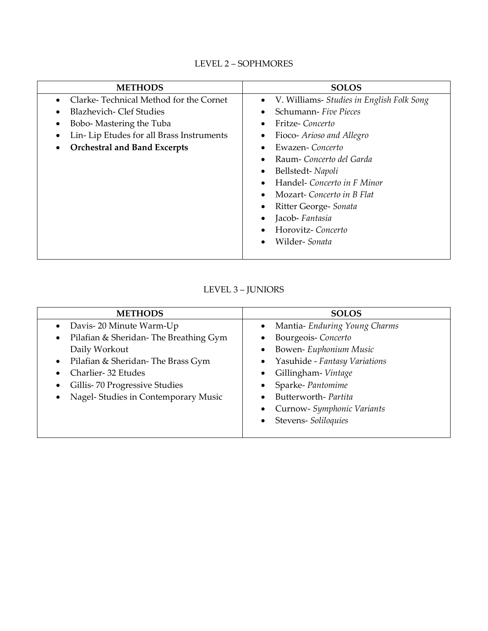### LEVEL 2 – SOPHMORES

| <b>METHODS</b>                                        | <b>SOLOS</b>                                           |
|-------------------------------------------------------|--------------------------------------------------------|
| Clarke-Technical Method for the Cornet<br>$\bullet$   | V. Williams- Studies in English Folk Song<br>$\bullet$ |
| Blazhevich- Clef Studies<br>$\bullet$                 | Schumann- Five Pieces<br>$\bullet$                     |
| Bobo- Mastering the Tuba<br>$\bullet$                 | Fritze-Concerto<br>٠                                   |
| Lin-Lip Etudes for all Brass Instruments<br>$\bullet$ | Fioco- Arioso and Allegro                              |
| <b>Orchestral and Band Excerpts</b><br>$\bullet$      | Ewazen-Concerto<br>$\bullet$                           |
|                                                       | Raum- Concerto del Garda                               |
|                                                       | Bellstedt-Napoli                                       |
|                                                       | Handel- Concerto in F Minor                            |
|                                                       | Mozart-Concerto in B Flat<br>$\bullet$                 |
|                                                       | Ritter George- Sonata<br>٠                             |
|                                                       | Jacob-Fantasia<br>٠                                    |
|                                                       | Horovitz-Concerto<br>$\bullet$                         |
|                                                       | Wilder-Sonata<br>$\bullet$                             |
|                                                       |                                                        |

#### LEVEL 3 – JUNIORS

| <b>METHODS</b>                                     | <b>SOLOS</b>                            |
|----------------------------------------------------|-----------------------------------------|
| Davis-20 Minute Warm-Up<br>$\bullet$               | Mantia-Enduring Young Charms<br>٠       |
| Pilafian & Sheridan-The Breathing Gym<br>$\bullet$ | Bourgeois-Concerto<br>$\bullet$         |
| Daily Workout                                      | Bowen- Euphonium Music<br>٠             |
| Pilafian & Sheridan-The Brass Gym<br>$\bullet$     | Yasuhide - Fantasy Variations<br>٠      |
| Charlier-32 Etudes                                 | Gillingham-Vintage<br>$\bullet$         |
| Gillis-70 Progressive Studies                      | Sparke-Pantomime                        |
| Nagel-Studies in Contemporary Music<br>$\bullet$   | Butterworth-Partita<br>$\bullet$        |
|                                                    | Curnow- Symphonic Variants<br>$\bullet$ |
|                                                    | Stevens-Soliloquies<br>$\bullet$        |
|                                                    |                                         |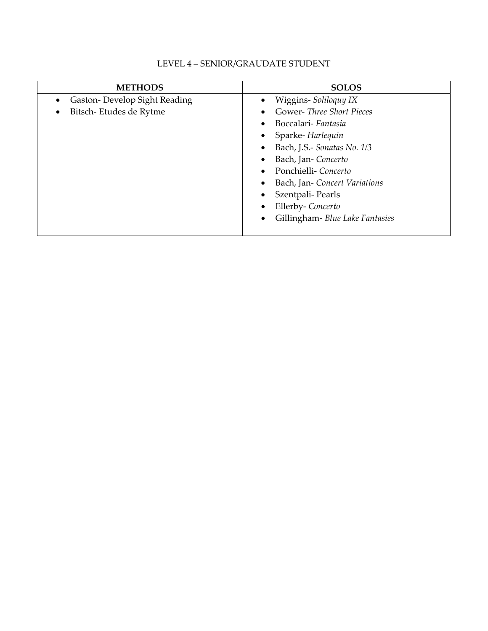| <b>METHODS</b>                            | <b>SOLOS</b>                          |
|-------------------------------------------|---------------------------------------|
| Gaston-Develop Sight Reading<br>$\bullet$ | Wiggins-Soliloquy IX<br>$\bullet$     |
| Bitsch-Etudes de Rytme<br>٠               | Gower-Three Short Pieces<br>$\bullet$ |
|                                           | Boccalari- Fantasia                   |
|                                           | Sparke-Harlequin                      |
|                                           | Bach, J.S.- Sonatas No. 1/3           |
|                                           | Bach, Jan-Concerto                    |
|                                           | Ponchielli-Concerto<br>$\bullet$      |
|                                           | Bach, Jan-Concert Variations          |
|                                           | Szentpali-Pearls                      |
|                                           | Ellerby-Concerto                      |
|                                           | Gillingham- Blue Lake Fantasies       |
|                                           |                                       |

### LEVEL 4 – SENIOR/GRAUDATE STUDENT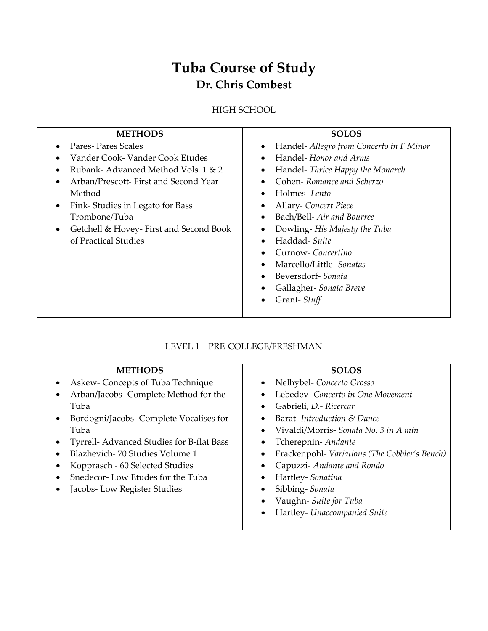# **Tuba Course of Study Dr. Chris Combest**

# HIGH SCHOOL

| <b>METHODS</b>                                      | <b>SOLOS</b>                                  |
|-----------------------------------------------------|-----------------------------------------------|
| Pares-Pares Scales<br>$\bullet$                     | Handel- Allegro from Concerto in F Minor<br>٠ |
| Vander Cook-Vander Cook Etudes                      | Handel-Honor and Arms<br>$\bullet$            |
| Rubank-Advanced Method Vols. 1 & 2                  | Handel- Thrice Happy the Monarch<br>$\bullet$ |
| Arban/Prescott-First and Second Year<br>$\bullet$   | Cohen-Romance and Scherzo<br>$\bullet$        |
| Method                                              | Holmes-Lento<br>$\bullet$                     |
| Fink-Studies in Legato for Bass<br>$\bullet$        | Allary-Concert Piece<br>$\bullet$             |
| Trombone/Tuba                                       | Bach/Bell- Air and Bourree<br>$\bullet$       |
| Getchell & Hovey-First and Second Book<br>$\bullet$ | Dowling-His Majesty the Tuba<br>٠             |
| of Practical Studies                                | Haddad- Suite<br>$\bullet$                    |
|                                                     | Curnow-Concertino<br>$\bullet$                |
|                                                     | Marcello/Little-Sonatas<br>$\bullet$          |
|                                                     | Beversdorf-Sonata                             |
|                                                     | Gallagher- Sonata Breve                       |
|                                                     | Grant-Stuff                                   |
|                                                     |                                               |

# LEVEL 1 – PRE-COLLEGE/FRESHMAN

| <b>METHODS</b>                            | <b>SOLOS</b>                                  |
|-------------------------------------------|-----------------------------------------------|
| Askew- Concepts of Tuba Technique         | Nelhybel- Concerto Grosso                     |
| Arban/Jacobs- Complete Method for the     | Lebedev- Concerto in One Movement             |
| Tuba                                      | Gabrieli, D.- Ricercar                        |
| Bordogni/Jacobs- Complete Vocalises for   | Barat-Introduction & Dance                    |
| Tuba                                      | Vivaldi/Morris- Sonata No. 3 in A min         |
| Tyrrell- Advanced Studies for B-flat Bass | Tcherepnin-Andante                            |
| Blazhevich-70 Studies Volume 1            | Frackenpohl- Variations (The Cobbler's Bench) |
| Kopprasch - 60 Selected Studies           | Capuzzi- Andante and Rondo                    |
| Snedecor-Low Etudes for the Tuba          | Hartley-Sonatina                              |
| Jacobs-Low Register Studies               | Sibbing-Sonata                                |
|                                           | Vaughn-Suite for Tuba                         |
|                                           | Hartley- Unaccompanied Suite                  |
|                                           |                                               |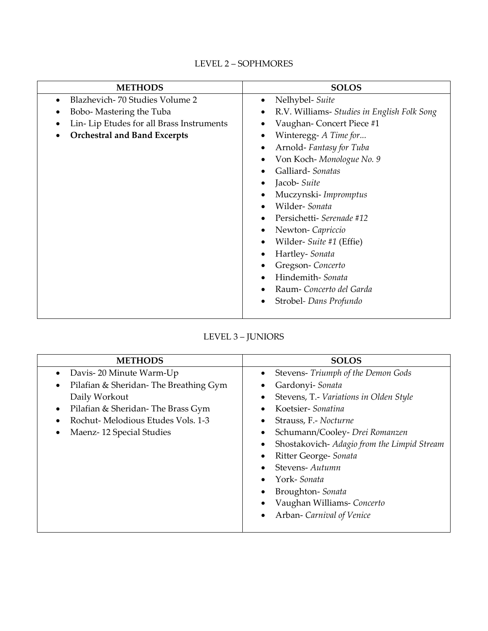# LEVEL 2 – SOPHMORES

| <b>METHODS</b>                              | <b>SOLOS</b>                                             |
|---------------------------------------------|----------------------------------------------------------|
| Blazhevich-70 Studies Volume 2<br>$\bullet$ | Nelhybel- Suite<br>$\bullet$                             |
| Bobo- Mastering the Tuba                    | R.V. Williams- Studies in English Folk Song<br>$\bullet$ |
| Lin-Lip Etudes for all Brass Instruments    | Vaughan-Concert Piece #1                                 |
| <b>Orchestral and Band Excerpts</b>         | Winteregg- A Time for<br>$\bullet$                       |
|                                             | Arnold-Fantasy for Tuba<br>$\bullet$                     |
|                                             | Von Koch-Monologue No. 9<br>$\bullet$                    |
|                                             | Galliard-Sonatas                                         |
|                                             | Jacob- Suite<br>$\bullet$                                |
|                                             | Muczynski-Impromptus                                     |
|                                             | Wilder-Sonata<br>$\bullet$                               |
|                                             | Persichetti- Serenade #12<br>$\bullet$                   |
|                                             | Newton-Capriccio<br>$\bullet$                            |
|                                             | Wilder- Suite #1 (Effie)<br>$\bullet$                    |
|                                             | Hartley-Sonata<br>$\bullet$                              |
|                                             | Gregson-Concerto                                         |
|                                             | Hindemith-Sonata<br>$\bullet$                            |
|                                             | Raum-Concerto del Garda<br>$\bullet$                     |
|                                             | Strobel- Dans Profundo                                   |
|                                             |                                                          |

# LEVEL 3 – JUNIORS

| <b>METHODS</b>                                     | <b>SOLOS</b>                                             |
|----------------------------------------------------|----------------------------------------------------------|
| Davis-20 Minute Warm-Up<br>٠                       | Stevens- Triumph of the Demon Gods<br>٠                  |
| Pilafian & Sheridan-The Breathing Gym<br>$\bullet$ | Gardonyi- Sonata                                         |
| Daily Workout                                      | Stevens, T.- Variations in Olden Style                   |
| Pilafian & Sheridan-The Brass Gym<br>$\bullet$     | Koetsier-Sonatina                                        |
| Rochut-Melodious Etudes Vols. 1-3                  | Strauss, F.- Nocturne                                    |
| Maenz-12 Special Studies<br>$\bullet$              | Schumann/Cooley- Drei Romanzen<br>٠                      |
|                                                    | Shostakovich- Adagio from the Limpid Stream<br>$\bullet$ |
|                                                    | Ritter George- Sonata                                    |
|                                                    | Stevens-Autumn                                           |
|                                                    | York-Sonata                                              |
|                                                    | Broughton-Sonata                                         |
|                                                    | Vaughan Williams- Concerto                               |
|                                                    | Arban- Carnival of Venice                                |
|                                                    |                                                          |